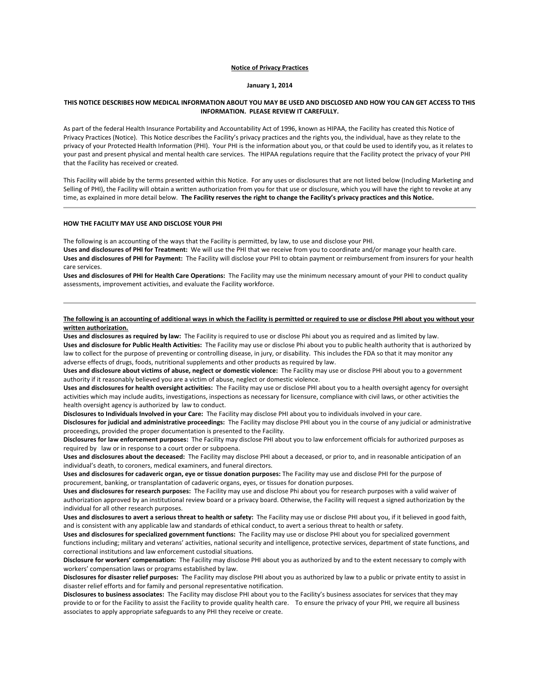# **Notice of Privacy Practices**

### **January 1, 2014**

# **THIS NOTICE DESCRIBES HOW MEDICAL INFORMATION ABOUT YOU MAY BE USED AND DISCLOSED AND HOW YOU CAN GET ACCESS TO THIS INFORMATION. PLEASE REVIEW IT CAREFULLY.**

As part of the federal Health Insurance Portability and Accountability Act of 1996, known as HIPAA, the Facility has created this Notice of Privacy Practices (Notice). This Notice describes the Facility's privacy practices and the rights you, the individual, have as they relate to the privacy of your Protected Health Information (PHI). Your PHI is the information about you, or that could be used to identify you, as it relates to your past and present physical and mental health care services. The HIPAA regulations require that the Facility protect the privacy of your PHI that the Facility has received or created.

This Facility will abide by the terms presented within this Notice. For any uses or disclosures that are not listed below (Including Marketing and Selling of PHI), the Facility will obtain a written authorization from you for that use or disclosure, which you will have the right to revoke at any time, as explained in more detail below. **The Facility reserves the right to change the Facility's privacy practices and this Notice.**

### **HOW THE FACILITY MAY USE AND DISCLOSE YOUR PHI**

The following is an accounting of the ways that the Facility is permitted, by law, to use and disclose your PHI.

**Uses and disclosures of PHI for Treatment:** We will use the PHI that we receive from you to coordinate and/or manage your health care. **Uses and disclosures of PHI for Payment:** The Facility will disclose your PHI to obtain payment or reimbursement from insurers for your health care services.

**Uses and disclosures of PHI for Health Care Operations:** The Facility may use the minimum necessary amount of your PHI to conduct quality assessments, improvement activities, and evaluate the Facility workforce.

# **The following is an accounting of additional ways in which the Facility is permitted or required to use or disclose PHI about you without your written authorization.**

**Uses and disclosures as required by law:** The Facility is required to use or disclose Phi about you as required and as limited by law. **Uses and disclosure for Public Health Activities:** The Facility may use or disclose Phi about you to public health authority that is authorized by law to collect for the purpose of preventing or controlling disease, in jury, or disability. This includes the FDA so that it may monitor any adverse effects of drugs, foods, nutritional supplements and other products as required by law.

**Uses and disclosure about victims of abuse, neglect or domestic violence:** The Facility may use or disclose PHI about you to a government authority if it reasonably believed you are a victim of abuse, neglect or domestic violence.

**Uses and disclosures for health oversight activities:** The Facility may use or disclose PHI about you to a health oversight agency for oversight activities which may include audits, investigations, inspections as necessary for licensure, compliance with civil laws, or other activities the health oversight agency is authorized by law to conduct.

**Disclosures to Individuals Involved in your Care:** The Facility may disclose PHI about you to individuals involved in your care. **Disclosures for judicial and administrative proceedings:** The Facility may disclose PHI about you in the course of any judicial or administrative proceedings, provided the proper documentation is presented to the Facility.

**Disclosures for law enforcement purposes:** The Facility may disclose PHI about you to law enforcement officials for authorized purposes as required by law or in response to a court order or subpoena.

**Uses and disclosures about the deceased:** The Facility may disclose PHI about a deceased, or prior to, and in reasonable anticipation of an individual's death, to coroners, medical examiners, and funeral directors.

**Uses and disclosures for cadaveric organ, eye or tissue donation purposes:** The Facility may use and disclose PHI for the purpose of procurement, banking, or transplantation of cadaveric organs, eyes, or tissues for donation purposes.

**Uses and disclosures for research purposes:** The Facility may use and disclose Phi about you for research purposes with a valid waiver of authorization approved by an institutional review board or a privacy board. Otherwise, the Facility will request a signed authorization by the individual for all other research purposes.

**Uses and disclosures to avert a serious threat to health or safety:** The Facility may use or disclose PHI about you, if it believed in good faith, and is consistent with any applicable law and standards of ethical conduct, to avert a serious threat to health or safety.

**Uses and disclosures for specialized government functions:** The Facility may use or disclose PHI about you for specialized government functions including; military and veterans' activities, national security and intelligence, protective services, department of state functions, and correctional institutions and law enforcement custodial situations.

**Disclosure for workers' compensation:** The Facility may disclose PHI about you as authorized by and to the extent necessary to comply with workers' compensation laws or programs established by law.

**Disclosures for disaster relief purposes:** The Facility may disclose PHI about you as authorized by law to a public or private entity to assist in disaster relief efforts and for family and personal representative notification.

**Disclosures to business associates:** The Facility may disclose PHI about you to the Facility's business associates for services that they may provide to or for the Facility to assist the Facility to provide quality health care. To ensure the privacy of your PHI, we require all business associates to apply appropriate safeguards to any PHI they receive or create.